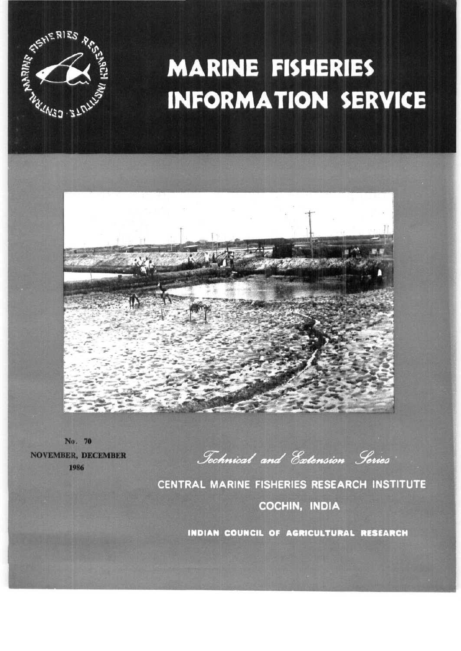

# **MARINE FISHERIES INFORMATION SERVICE**



No. 70 NOVEMBER, DECEMBER 1986

*^ecAfttcci/ a^ta 0a?^n^u>n ,j7ei »i^^i}* 

**CENTRAL MARINE FISHERIES RESEARCH INSTITUTE COCHIN, INDIA** 

**INDIAN COUNCIL OF AGRICULTURAL RESEARCH**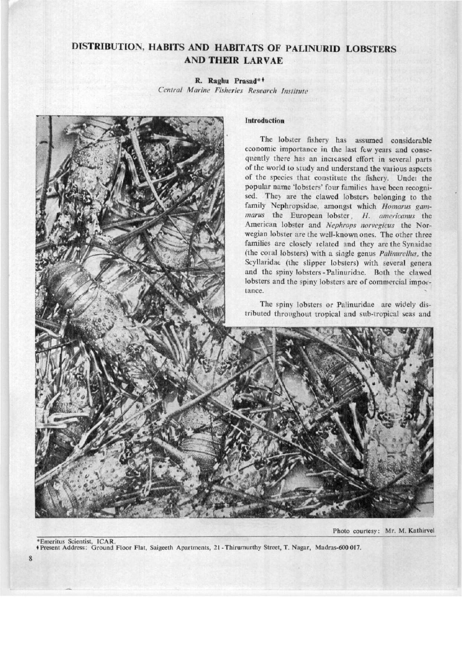# **DISTRIBUTION, HABITS AND HABITATS OF PALINURID LOBSTERS AND THEIR LARVAE**

# **R. Raghu Prasad\*\***

*Central Marine Fisheries Research Institute* 



Photo courtesy: Mr. M. Kathirvel

•Emeritus Scientist, ICAR. • Present Address: Ground Floor Flat, Saigeeth Apartments, 21 -Thirumurthy Street, T. Nagar, Madras-600 017.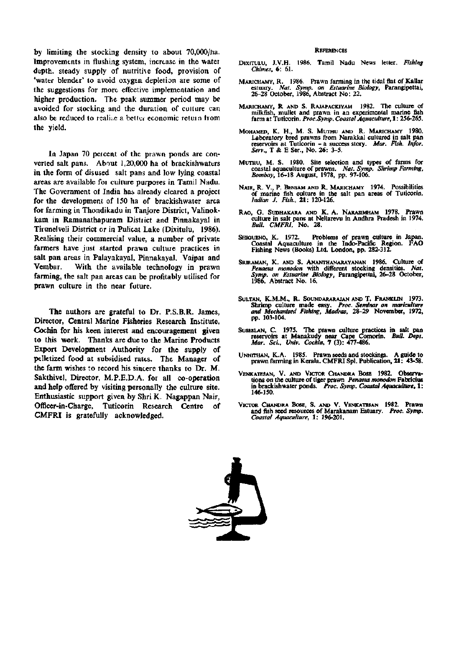by limiting the stocking density to about 70,000/ha. Improvements in flushing system, increase in the watei depth. steady supply of nutritive food, provision of 'water blender' to avoid oxygen depletion are some of the suggestions for more effective implementation and higher production. The psak summer period may be avoided for stocking and the duration of culture can also be reduced to realize a better economic return from the yield.

In Japan 70 percent of the prawn ponds are converted salt pans. About 1,20,000 ha of brackishwaters in the form of disused salt pans and low lying coastal areas are available foi culture purposes in Tamil Nadu. The Government of India has already cleared a project for the development of 150 ha of brackishwater area for farming in Thondikadu in Tanjore District, Vahnokkam in Ramanathapuram Distiict and Pinnakayal in Tirunelveli District or in Pulicat Lake (Dixitulu, 1986). Realising their commercial value, a number of private farmers have just started prawn culture practices in salt pan areas in Palayakayal, Pinnakayal, Vaipar and Vembar. With the available technology in prawn farming, the salt pan areas can be profitably utilised for prawn culture in the near future.

The authors are grateful to Dr. P.S.B.R. James, Director, Central Marine Fisheries Research Institute, Cochin for his keen interest and encouragement given to this work. Thanks are due to the Marine Products Export Development Authority for the supply of pelletized food at subsidised rates. The Manager of the farm wishes to record his sincere thanks to Dr. M. Sakthivel, Director, M.P.E.D.A. for all co-operation and help offered by visiting personally the culture site. Enthusiastic support given by Shri K. Nagappan Nair, Officer-in-Charge, Tuticorin Research Centre of CMFRI is gratefully acknowledged.

#### **REFERENCES**

- DIXITULU, J.V.H. 1986. Tamil Nadu News letter. *Fishing Chimes,* 6: 61.
- MARICHAMY, R. 1986. Prawn farming in the tidal flat of Kallar estuary. *Nat. Symp. on Estuarine Biology,* Parangipettai, 26-28 October, 1986, Abstract No: 22.
- MARICHAMY, R AND S. RAJAPACKIYAM 1982. The culture of milkfish, mullet and prawn in an experimental marine fish farm at Tuticorin. *Proc.Symp. Coastal Aquacultwe,* **1**: **256-265.**
- **MOHAMED, K. H., M. S. MUTHU AND R. MARICHAMY 1980.**  Laboratory bred prawns from Narakkal cultured in salt pan reservoirs at Tuticorin - a success story. *Mar. Fish. Infer. Serv..* T & E Ser., No. 26: 3-5.
- MuTHU, M. S. 1980. Site selection and types of farms for coastal aquaculture of prawns. *Nat. Symp. Shrimp Farming, Bombay,* 16-18 August, 1978, pp. 97-106.
- NAIR, R. V., P. BENSAM AND R. MARICHAMY 1974. Possibilities of marine fish culture in the salt pan areas of Tuticorin. *Indian J. Fish.,* **21:** 120-126.
- RAO, G. SUDHAKARA AND K. A. NARASIMHAM 1978. Prawn culture in salt pans at Nellarevu in Andhra Pradesh in 1974. *Bull. CMFRI.* **No. 28.**
- SHIGUENO, K. 1972. Problems of prawn culture in Japan. Coastal Aquaculture in the Indo-Padflc Region. FAO Fishing News (Books) Ltd. London, pp. 282-312.
- SRIRAMAN, K. AND S. ANANTHANARAYANAN 1986. Culture of *Penaeus monodon* with different stocking densities. *Nat. Symp. on Estuarine Biology,* Parangipettai, 26-28 October, 1986, Abstract No. 16.
- SULTAN, K.M.M., R. SOUNDARARAJAN AND T. FRANKUN 1973. **Shrimp culture made easy.** *Proc. Seminar on mariculture and Mechanised Fishing. Madras,* **28-29 November, 1972,**  pp. 103-104.
- SUSEELAN, C. 1975. The prawn culture practices in salt pan reservoirs at Manakudy near Cape Comorin. *Bull. Dept. Mar. Sci., Univ. Cochin,* **7** (3): **477-486.**
- UNNrrHAN, K.A. 1985. Prawn seeds and stockings. A guide to prawn farming in Kerala. CMFRI Spl. Publication, **21: 43-58.**
- VENKATESAN, V. AND VICTOR CHANDRA BOSE 1982. Observations on the culture of tiger prawn *Penaeus monodon* Fabricius in brackishwater ponds. *Proc. Symp. Coastal Aquaculture,* **1:**  146-150.
- VICTOR CHANDRA BOSE, S. AND V. VENKATESAN 1982. Prawn and fish seed resources of Matakanam Estuary. *Proc. Symp. Coastal Aquaculture,* **1: 196-201.**

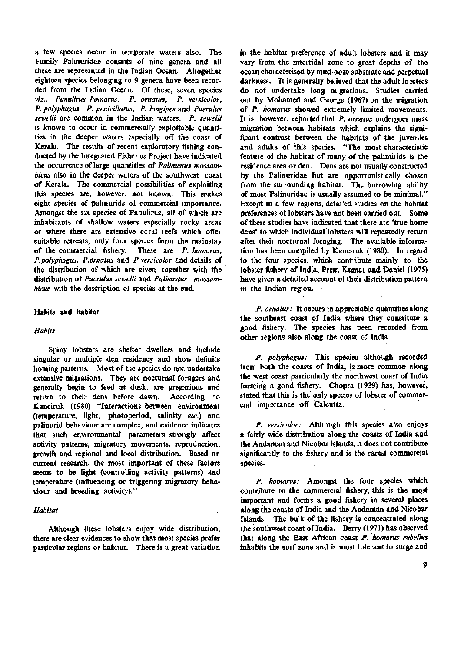a few species occur in temperate wateis also. The Family Palinuridae consists of nine genera and all these are represented in the Indian Ocean. Altogether eighteen species belonging to 9 genera have been recorded from the Indian Ocean. Of these, seven species *viz., Panulirus homarus, P. ornatus, P. versicolor, P. polyphagus, P. penicillatus, P. longipes* and *Puerulus sewelli* are common in the Indian waters. *P. sewelli*  is known to occur in commercially exploitable quantities in the deeper waters especially off the coast of Kerala. The results of recent exploratory fishing conducted by the Integrated Fisheries Project have indicated the occurrence of large quantities of *Palinustus mossambicus* also in the deeper waters of the southwest coast of Kerala. The commercial possibilities of exploiting this species are, however, not known. This makes eight species of pahnurids ot commercial importance. Amongst the six species of Panulirus, all of which are inhabitants of shallow waters especially rocky areas or where there are extensive coral reefs which offei suitable retreats, only four species form the mainstay of the commercial fishery. These are *P. homarus, P.polyphagus, P.ornatus* and *P.versicolor* and details of the distribution of which are given together with the distribution of *Puerulus sewelli* and *Palinustus mossambicus* with the description of species at the end.

#### Habits and habitat

#### *Habits*

Spiny lobsters are shelter dwellers and include singular or multiple den residency and show definite homing patterns. Most of the species do not undertake extensive migrations. They are nocturnal foragers and generally begin to feed at dusk, are gregarious and return to their dens before dawn. According to Kanciruk (1980) "Interactions between environment (temperature, light, photoperiod, salinity *etc.)* and palinurid behaviour are complex, and evidence indicates that such environmental parameters strongly affect activity patterns, migratory movements, reproduction, growth and regional and local distribution. Based on current research, the most important of these factors seems to be light (controlling activity patterns) and temperature (influencing or triggering migratory behaviour and breeding activity)."

# *Habitat*

Although these lobsters enjoy wide distribution, there are clear evidences to show that most species prefer particular regions or habitat. There is a great variation

in the habitat preference of adult lobsters and it may vary from the inteitidal zone to great depths of the ocean characterised by mud-ooze substrate and perpetual darkness. It is generally believed that the adult lobsters do not undertake long migrations. Studies carried out by Mohamed and George (1967) on the migratioh of *P. homarus* showed extremely limited movements. It is, however, reported that *P. ornatus* undergoes mass migration between habitats which explains the significant contrast between the habitats of the juveniles and adults of this species. "The most characteristic feature of the habitat of many of the palinurids is the residence area or den. Dens are not usually constructed by the Palinuridae but are opportunistically chosen from the surrounding habitat. The burrowing ability of most Palinuridae is usually assumed to be minimal." Except in a few regions, detailed studies on the habitat preferences of lobsters have not been carried out. Some of these studies have indicated that there are 'true home dens' to which individual lobsters will repeatedly return after their nocturnal foraging. The available information has been compiled by Kanciruk (1980). In regard to the four species, which contribute mainly to the lobster fishery of India, Prem Kumar and Daniel (1975) have given a detailed account of their distribution pattern in the Indian region.

*P. ornatus:* It occurs in appreciable quantities along the southeast coast of India where they constitute a good fishery. The species has been recorded from other regions also along the coast of India.

*P. polyphagus:* This species although recorded from both the coasts of India, is more common along the west coast particulaily the northwest coast of India forming a good fishery. Chopra (1939) has, however, stated that this is the only species of lobster of commercial importance off Calcutta.

*P. versicolor:* Although this species also enjoys a fairly wide distribution along the coasts of India and the Andaman and Nicobar islands, it does not contribute significantly to the fishery and is the rarest commercial species.

*P. homarus:* Amongst the four species which contribute to the commercial fishery, this is the mo'st important and forms a good fishery in several places along the coasts of India and the Andaman and Nicobar Islands. The bulk of the fishery is concentrated along the southwest coast of India. Berry (1971) has observed that along the East African coast *P. homarus rubellus*  inhabits the surf zone and is most tolerant to surge and

9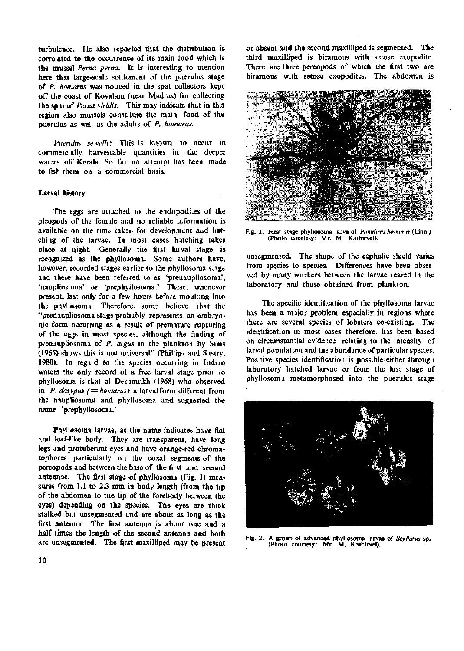turbulence. He also leported that the distribution is correlated to the occurrence of its main tood which is the mussel *Perna perm.* It is interesting to mention here that large-scale settlement of the puerulus stage of *P. homarus* was noticed in the spat collectors kept off the coast of Kovalam (near Madras) for collecting the spat of *Perna viridis.* This may indicate that in this region also mussels constitute the main food of the puerulus as well as the adults of *P. homarus.* 

*Puerulm sewelli:* This is known to occur in commercially harvestable quantities in the deeper waters off Kerala. So far no attempt has been made to fish them on a commercial basis.

# Larval history

The eggs are attached to the endopodites of the pleopods of the female and no reliable information is available on the time taken for development and hatching of the larvae. In most cases hitching takes place at night. Generally the first larval stage is recognized as the phyllosomi. Some authors have, however, recorded stages earlier to the phyllosoma singe and these have bsen referred to as 'prenaupliosoma', 'naupliosoma' or 'prephyilosoma.' These, whenever present, last only for a few hours before moulting into the phyllosoma. Therefore, some believe that the "prenaupliosoma stage probably represents an embryonic form occurring as a result of premature rupturing of the eggs in most species, although the finding of prenaupliosomi of P. argus in the plankton by Sims (1965) shows this is not universal" (Phillip: and Sastry, 1980). In regird to ths species occurring in Indian waters the only record of a free larval stage prior to phyllosoma is that of Deshraukh (1968) who observed in *P. dasypus*  $\neq$  *homarus*) a larval form different from the naupliosoma and phyllosoma and suggested the name 'prephyilosoma.'

Phyllosoma larvae, as the name indicates have flat and leaf-like body. They are transparent, have long legs and protuberant eyes and have orange-red chromatophores particularly on the coxal segments of the pereopods and between the base of the first and second antennae. The first stage of phyllosoma (Fig. 1) measures from 1.1 to 2.3 mm in body length (from the tip of the abdomen to the tip of the forebody between the eyes) depending on the species. The eyes are thick stalked but unsegmented and are about as long as the first antenna. The first antenna is about one and a half times the length of the second antenna and both are unsegmented. The first maxilliped may be present or absent and the second maxilliped is segmented. The third maxilliped is biramous with setose exopodite. There are three pereopods of which the first two are biramous with setose exopodites. The abdomtn is



Fig. 1. First stage phyllosoma larva of Panulirus homarus (Linn.) (Photo courtesy: Mr. M. Kathirvel).

unsegmented. The shape of the cephalic shield varies from species to species. Differences have been observed by many workers between the larvae reared in the laboratory and those obtained from plankton.

The specific identification of the phyllosoma larvae has been a major problem especially in regions where there are several species of lobsters co-existing. The identification in most cases therefore, his been based on circumstantial evidence relating to the intensity of larval population and the abundance of particular species. Positive species identification is possible either through laboratory hatched larvae or from the last stage of phyllosoma metamorphosed into the puerulus stage



Fig. 2. A group of advanced phyllosoma larvae of *Scyllarus* sp. (Photo courtesy: Mr. M. Kathirvel).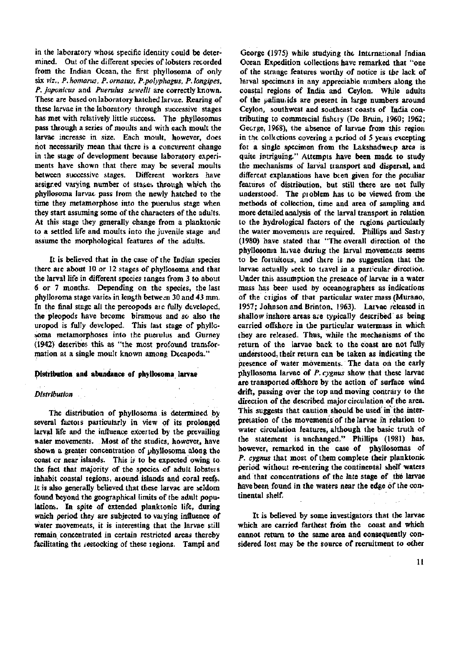in the laboratory whose specific identity could be determined. Out of the different species of lobsters recorded from the Indian Ocean, the first phyllosoma of only six *viz., P.homams, P.omatus, P.polyphagus, P.longipes, P. japonicus* and *Puerulus sewelli* are correctly known. These are based on laboratory hatched larvae. Rearing of these larvae in the laboratory through successive stages has met with relatively little success. The phyllosomas pass through a series of moults and with each moult the larvae increase in size. Each moult, however, does not necessarily mean that there is a concurrent change in the stage of development because laboratory experiments have shown that there may be several moults between successive stages. Different workers have assigned varying number of stages through which the phyllosoma larvae pass trom the newly hatched to the time they metamorphose into the puerulus stage when they start assuming some of the characters of the adults, At this stage they generally change from a planktonic to a settled life and moults into the juvenile stage and assume the morphological features of the adults.

It is believed that in the case of the Indian species there aie about 10 or 12 stages of phyllosoma and that the larval life in different species langes from 3 to about 6 or 7 months. Depending on the species, the last phyllofoma stage varies in length between 30 and 43 mm. In the final stage all the pereopods aie fully developed, the pleopods have become biramous and so also the uropod is fully developed. This last stage of phyllosoma metamorphoses into the puerulus and Gurney (1942) describes this as "the most profound transformation at a single moult known among Decapoda."

# Distribution and abundance of phyllosoma larvae

# *Distribution*

The distribution of phyllosoma is determined by several factois particularly in view of its prolonged larval life and the influence excerted by the prevailing water movements. Most of the studies, however, have shown a greater concentration of phyllosoma along the coast cr near islands. This is to be expected owing to the fact that majority of the species of adult lobsteis inhabit coastal tegions, around islands and coral reefs. It is also generally believed that these larvae are seldom found beyond the geographical limits of the adult populations. In spite of extended planktonic life, during which period they are subjected to varying influence of Water movements, it is interesting that the larvae still remain concentrated in certain restricted areas thereby facilitating the restocking of these regions. Tampi and

George (1975) while studying the International Indian Ocean Expedition collections have remarked that "one of the strange features worthy of notice is the lack of larval specimens in any appreciable numbers along the coastal regions of India and Ceylon. While adults of the palinuiids are piesent in large numbers around Ceylon, southwest and southeast coasts of India contributing to commeicial fishery (De Bfuin, 1960; 1962; George, 1968), the absence of larvae from this region in the collections covering a period oi 5 yeais excepting for a single specimen from the Lakshadweep area is quite intriguing." Attempts have been made to study the mechanisms of larval tiansport and dispersal, and different explanations have been given for the peculiar features of distribution, but still these are not fully understood. The pioblem has to be viewed from the methods of collection, time and area of sampling and more detailed analysis of the larval transport in relation to the hydrological factors of the regions particularly the water movements are required. Phillips and Sastry (1980) have stated that "The overall direction ot the phyllosoma larvae during the larval movements seems to be foituitous, and there is no suggestion that the larvae actually seek to travel in a particular direction. Under tnis assumption the presence of larvae in a water mass has been used by oceanographeis as indications of the origins of that particular water mass (Murano, 1957; Johnson and Brinton, 1963). Laivae released in shallow inshore areas aie typically described as being carried offshore in the particular watermass in which they are released. Thus, while the mechanisms of the return of the larvae back to the coast are not fully understood, their return can be taken as indicating the presence of water movements. The data oh the early phyllosoma larvae of *P. cygnus* show that these larvae are transported offshore by the action of surface wind drift, passing over the top and moving contrary to the direction of the described major circulation of the area. This suggests that caution should be used in the interpretation of the movements of the larvae in relation to pretation of the movements of the latvae in relation to water circulation features, although the basic truth of the statement is unchanged." Phillips (1981) has, however, remarked in the case of phyllosomas of P. cygnus that most of them complete their planktonic period without re-entering the continental shelf waters and that concentrations of the late stage of the larvae have been found in the waters near the edge of the con-<br>tinental shelf.

It is believed by some investigators that the larvae which are carried farthest from the coast and which cannot return to the same area and consequently considered lost may be the source of recruitment to other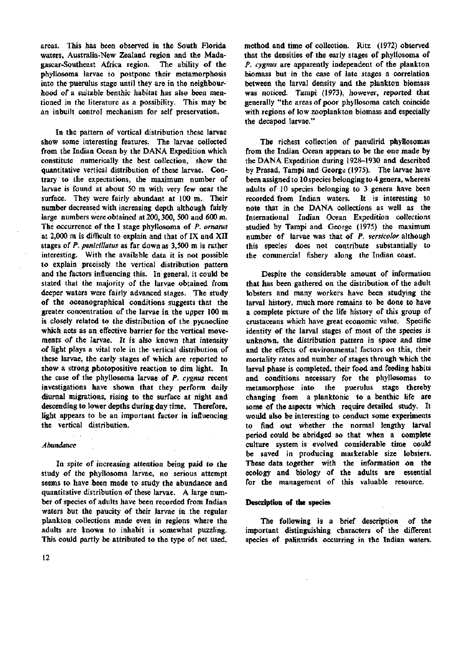areas. This has been observed in the South Florida waters, Australia-New Zealand region and the Madagascar-Southeast Africa region. The ability of the phyllosoma larvae to postpone their metamorphosis into the puerulus stage until they are in the neighbourhood of a suitable benthic habitat has also been mentioned in the literature as a possibility. This may be an inbuilt control mechanism for self preservation.

In the pattern of vertical distribution these larvae show some interesting features. The larvae collected from the Indian Ocean by the DANA Expedition which constitute numerically the best collection, show the quantitative vertical distribution of these larvae. Contrary to the expectations, the maximum number of larvae is found at about 50 m with very few near the surface. They were fairly abundant at 100 m. Their number decreased with increasing depth although fairly large numbers were obtained at 200,300, 500 and 600 m. The occurrence of the I stage phyllosoma of *P. ornatus*  at 2,000 m is difficult to explain and that of IX and XII stages of *P. penicillatus* as far down as 3,500 m is rather interesting. With the available data it is not possible to explain precisely the vertical distribution pattern and the factors influencing this. In general, it could be stated that the majority of the larvae obtained from deeper waters were fairly advanced stages. The study of the oceanographical conditions suggests that the greater concentration of the larvae in the upper 100 m is closely related to the distribution of the pycnocline which acts as an effective barrier for the vertical movements of the larvae. It is also known that intensity of light plays a vital role in the vertical distribution of these larvae, the early stages of which are reported to show a strong photopositive reaction to dim light. In the case of the phyllosoma larvae of *P. cygnus* recent investigations have shown that they perform daily diurnal migrations, rising to the surface at night and descending to lower depths during day time. Therefore, light appears to be an important factor in influencing ngne appears to be an imp

# *Abundance*

In spite of increasing attention being paid to the study of the phyllosoma larvae, no serious attempt seems to have been made to study the abundance and quantitative distribution of these larvae. A large number of species of adults have been recorded from Indian waters but the paucity of their larvae in the regular plankton collections made even in regions where the adults are known to inhabit is somewhat puzzling. This could partly be attributed to the type of net used.

method and time of collection. Ritz (1972) observed that the densities of the early stages of phyllosoma of *P. cygnus* are apparently independent of the plankton biomass but in the case of late stages a correlation between the larval density and the plankton biomass was noticed. Tampi (1973), however, reported that generally "the areas of poor phyllosoma catch coincide with regions of low zooplankton biomass and especially the decapod larvae."

The richest collection of panulirid phyllosomas from the Indian Ocean appears to be the one made by the DANA Expedition during 1928-1930 and described by Prasad, Tampi and George (1975). The larvae have been assigned to 10 species belonging to 4 genera, whereas adults of 10 species belonging to 3 genera have been recorded from Indian waters. It is interesting to note that in the DANA collections as well as the International Indian Ocean Expedition collections studied by Tampi and George (1975) the maximum number of larvae was that of *P. versicolor* although this species does not contribute substantially to the commercial fishery along the Indian coast.

Despite the considerable amount of information that has been gathered on the distribution of the adult lobsters and many workers have been studying the larval history, much more remains to be done to have a complete picture of the life history of this group of crustaceans which have great economic value. Specific identity of the larval stages of most of the species is unknown, the distribution pattern in space and time and the effects of environmental factors on this, their mortality rates and number of stages through which the larval phase is completed, their food and feeding habits and conditions necessary for the phyllosomas to metamorphose into the puerulus stage thereby changing from a planktonic to a benthic life are some of the aspects which require detailed study. It would also be interesting to conduct some experiments to find out whether the normal lengthy larval period could be abridged so that when a complete culture system is evolved considerable time could be saved in producing marketable size lobsters. These data together with the information on the ecology and biology of the adults are essential for the management of this valuable resource.

#### **Description** of **the** species

The following is a brief description of the important distinguishing characters of the different species of palinurids occurring in the Indian waters.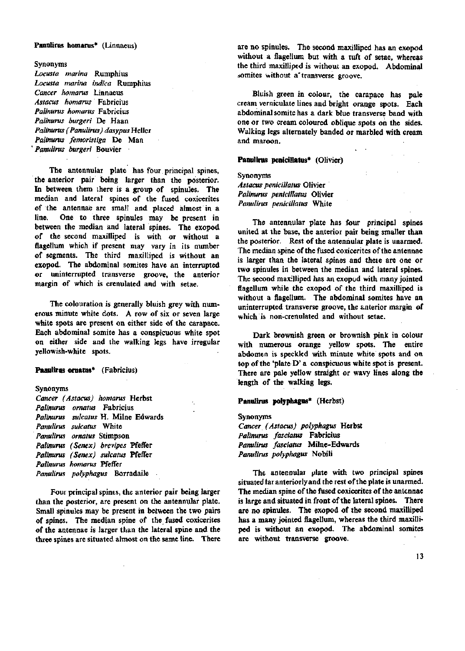#### **Panulirus homarus\*** (Linnaeus)

Synonyms

*Locusta marina* Rumphius *Locusta marina indica* Rumphius *Cancer homarus* Linnaeus *Astacus homarus* Fabricius *Palinurus homarus* Fabricius *Palinurus burgeri* De Haan *Palinurus (Panulirus) dasypus* Heller *Palinurus femoristiga* De Man *'Panulirus burgeri* Bouvier

The antennular plate has four principal spines, the anterior pair being larger than the posterior. In between them there is a group of spinules. The median and lateral spines of the fused coxicerites of the antennae are small and placed almost in a line. One to three spinules may be present in between the median and lateral spines. The exopod of the second maxilliped is with or without a flagellum which if present may vary in its number of segments. The third maxilliped is without an exopod. The abdominal somites have an interrupted or uninterrupted transverse groove, the anterior margin of which is crenulated and with setae.

The colouration is generally bluish grey with numerous minute white dots. A row of six or seven large white spots are present on either side of the carapace. Each abdominal somite has a conspicuous white spot on either side and the walking legs have irregular yellowish-white spots.

#### **Panulirus ornatus\*** (Fabricius)

# Synonyms

*Cancer (Astacus) homarus* Herbst *Palinurus omatus* Fabricius *Palinurus sulcatus* H. Milne Edwards *Panulirus sulcatus* White *Panulirus omatus* Stimpson *Palinurus (Senex) brevipes* Pfeffer Palinurus (Senex) sulcatus Pfeffer *Palinurus homarus* Pfeifer *Panulirus polyphagus* Borradaile

Four principal spines, the anterior pair being larger than the posterior, are present on the antennular plate. Small spinules may be present in between the two pairs of spines. The median spine of the fused coxicerites of the antennae is larger than the lateral spine and the three spines are situated almost on the same line. There are no spinules. The second maxilliped has an exopod without a flagellum but with a tuft of setae, whereas the third maxilliped is without an exopod. Abdominal somites without a transverse groove.

Bluish green in colour, the carapace has pale cream verniculate lines and bright orange spots. Each abdominal somite has a dark blue transverse band with one or two cream coloured oblique spots on the sides. Walking legs alternately banded or marbled with cream and maroon.

# **Panulirus penicillatus\*** (Olivier)

# Synonyms *Astacus penicillatus* Olivier Palinurus penicillatus Olivier *Panulirus penicillatus* White

The antennular plate has four principal spines united at the base, the anterior pair being smaller than the posterior. Rest of the antennular plate is unarmed. The median spine of the fused coxicerites of the antennae is larger than the lateral spines and theie are one or two spinules in between the median and lateral spines. The second maxilliped has an exopod with many jointed flagellum while the exopod of the third maxilliped is without a flagellum. The abdominal somites have an uninterrupted transverse groove, the anterior margin of which is non-crenulated and without setae.

Dark brownish green or brownish pink in colour with numerous orange yellow spots. The entire abdomen is speckled with minute white spots and on top of the 'plate D' a conspicuous white spot is present. There are pale yellow straight or wavy lines along the length of the walking legs.

# **Panulirus polyphagus\*** (Herbst)

Synonyms *Cancer (Astacus) polyphagus* Hetbst *Palinunts fasciatus* Fabricius *Panulirus fasciatus* Milne-Edwards *Panulirus polyphagus* Nobili

The antennular plate with two principal spines situated tar anteriorly and the rest of the plate is unarmed. The median spine of the fused coxicerites of the antennae is large and situated in front of the lateral spines. There are no spinules. The exopod of the second maxilliped has a many jointed flagellum, whereas the third maxilliped is without an exopod. The abdominal somites are without transverse groove.

13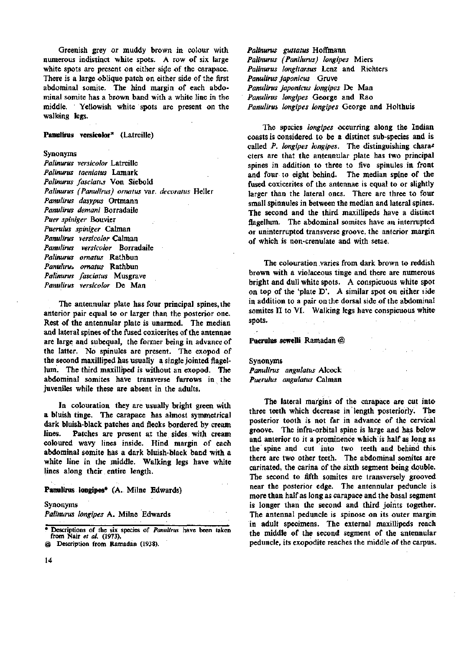Greenish grey or muddy brown in colour with numerous indistinct white spots. A row of six large white spots are present on either side of the carapace. There is a large oblique patch on either side of the first abdominal somite. The hind margin of each abdominal somite has a brown band with a white line in the middle. Yellowish white spots are present on the walking legs.

#### Panulirus versicolor\* (Latreille)

#### Synonyms

*Palinurus versicolor* Latreille *Palinurits taeniatus* Lamark *Palinurus fasciatus* Von Siebold *Palinurus (Panulirus) ornatus* var. *decoratus* Heller *Panulirus dasypus* Ortmann *Panulirus demani* Borradaile *Puer spiniger* Bouvier *Puerulus spiniger* Caiman *Panulirus versicolor* Caiman *Panulirus versicolor* Borradaile *Palinurus ornatus* Rathbun *Panulirus ornatus* Rathbun *Palinurus fasciatus* Musgrave *Panulirus versicolor* De Man

The antennular plate has four principal spines, the anterior pair equal to or larger than the posterior one. Rest of the antennular plate is unarmed. The median and lateral spines of the fused coxicerites of the antennae are large and subequal, the former being in advance of the latter. No spinules are present. The exopod of the second maxilliped has usually a single jointed flagellum. The third maxilliped is without an exopod. The abdominal somites have transverse furrows in the juveniles while these are absent in the adults.

In colouration they are usually bright green with a bluish tinge. The carapace has almost symmetrical dark bluish-black patches and flecks bordered by cream lines. Patches are present at the sides with cream coloured wavy lines inside. Hind margin of each abdominal somite has a dark bluish-black band with a white line in the middle. Walking legs have white lines along their entire length.

#### Panulirus longipes\* (A. Milne Edwards)

#### Synonyms

*Palinurus longipes* A. Milne Edwards

*Palinurus guttatus* Hoffmann *Palinurus (Panilurus) longipes* Miers *Palinurus longitarsus* Lenz and Richters *Panulirus japonicus* Gruve *Panulirus japonicus longipes* De Man *Panulirus longipes* George and Rao *Panulirus longipes longipes* George and Holthuis

The species *longipes* occurring along the Indian coasts is considered to be a distinct sub-species and is called *P. longipes longipes*. The distinguishing characters are that the antennular plate has two principal spines in addition to three to five spinules in front and four to eight behind. The median spine of the fused coxicerites of the antennae is equal to or slightly larger than the lateral ones. There are three to four small spinnules in between the median and lateral spines. The second and the third maxillipeds have a distinct flagellum. The abdominal somites have an interrupted or uninterrupted transverse groove, the anterior margin of which is non-crenulate and with setae.

The colouration varies from dark brown to reddish brown with a violaceous tinge and there are numerous bright and dull white spots. A conspicuous white spot on top of the 'plate D'. A similar spot on either side in addition to a pair on the dorsal side of the abdominal somites  $\Pi$  to  $\Pi$ . Walking legs have conspicuous white spots.

Puerulus sewelli Ramadan @

# Synonyms

*Panulirus angulatus* Alcock *Puerulus angulatus* Caiman

The lateral margins of the carapace are cut into three teeth which decrease in length posteriorly. The posterior tooth is not far in advance of the cervical groove. The infra-orbital spine is large and has below and anterior to it a prominence which is half as long as the spine and cut into two teeth and behind this there are two other teeth. The abdominal somites are carinated, the carina of the sixth segment being double. The second to fifth somites are transversely grooved near the posterior edge. The antennular peduncle is more than half as long as carapace and the basal segment is longer than the second and third joints together. The antennal peduncle is spinose on its outer margin in adult specimens. The external maxillipeds reach the middle of the second segment of the antennular peduncle, its exopodite reaches the middle of the carpus.

<sup>\*</sup> Descriptions of the six species Of *Panulirus* have been taken from Naif *et at.* (1973).

<sup>@</sup> Description from Ramadan (1938).